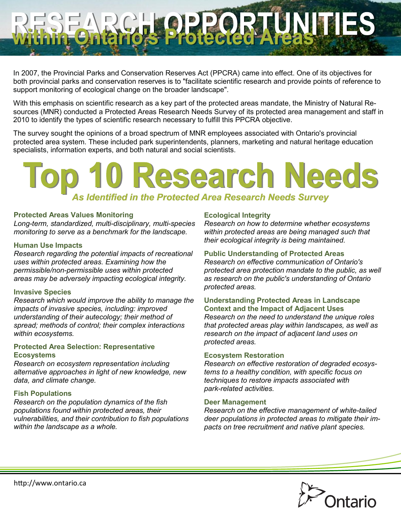In 2007, the Provincial Parks and Conservation Reserves Act (PPCRA) came into effect. One of its objectives for both provincial parks and conservation reserves is to "facilitate scientific research and provide points of reference to support monitoring of ecological change on the broader landscape".

With this emphasis on scientific research as a key part of the protected areas mandate, the Ministry of Natural Resources (MNR) conducted a Protected Areas Research Needs Survey of its protected area management and staff in 2010 to identify the types of scientific research necessary to fulfill this PPCRA objective.

The survey sought the opinions of a broad spectrum of MNR employees associated with Ontario's provincial protected area system. These included park superintendents, planners, marketing and natural heritage education specialists, information experts, and both natural and social scientists.

# **Research Needs** *As Identified in the Protected Area Research Needs Survey*

#### **Protected Areas Values Monitoring**

*Long-term, standardized, multi-disciplinary, multi-species monitoring to serve as a benchmark for the landscape.*

#### **Human Use Impacts**

*Research regarding the potential impacts of recreational uses within protected areas. Examining how the permissible/non-permissible uses within protected areas may be adversely impacting ecological integrity.*

#### **Invasive Species**

*Research which would improve the ability to manage the impacts of invasive species, including: improved understanding of their autecology; their method of spread; methods of control; their complex interactions within ecosystems.*

#### **Protected Area Selection: Representative Ecosystems**

*Research on ecosystem representation including alternative approaches in light of new knowledge, new data, and climate change.*

#### **Fish Populations**

*Research on the population dynamics of the fish populations found within protected areas, their vulnerabilities, and their contribution to fish populations within the landscape as a whole.*

#### **Ecological Integrity**

*Research on how to determine whether ecosystems within protected areas are being managed such that their ecological integrity is being maintained.*

#### **Public Understanding of Protected Areas**

**PRECEDENTIES** 

*Research on effective communication of Ontario's protected area protection mandate to the public, as well as research on the public's understanding of Ontario protected areas.*

#### **Understanding Protected Areas in Landscape Context and the Impact of Adjacent Uses**

*Research on the need to understand the unique roles that protected areas play within landscapes, as well as research on the impact of adjacent land uses on protected areas.*

#### **Ecosystem Restoration**

*Research on effective restoration of degraded ecosystems to a healthy condition, with specific focus on techniques to restore impacts associated with park-related activities.*

#### **Deer Management**

*Research on the effective management of white-tailed deer populations in protected areas to mitigate their impacts on tree recruitment and native plant species.*